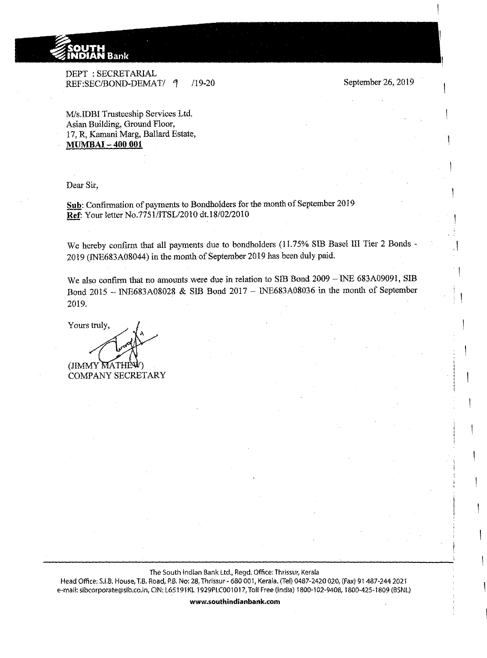

DEPT : SECRETARIAL REF:SEC/BOND-DEMAT/ 4 /19-20

September 26, 2019

M/s.IDBI Trusteeship Services Ltd. Asian Building, Ground Floor, 17, R, Kamani Marg, Ballard Estate, **MUMBAI- 400 001** 

Dear Sir,

Sub: Confirmation of payments to Bondholders for the month of September 2019 **Ref:** Your letter No.7751/ITSL/2010 dt.!S/02/2010

We hereby confirm that all payments due to bondholders (11.75% SIB Basel III Tier 2 Bonds -2019 (!NE683A08044) in the month of September 2019 has been duly paid.

We also confirm that no amounts were due in relation to SIB Bond 2009 - INE 683A09091, SIB Bond 2015 - !NE683A08028 & SIB Bond 2017- INE683A08036 in the month of September 2019.

Yours truly,

(JIMMY MATH

COMPANY SECRETARY

The South Indian Bank Ltd., Regd. Office: Thrissur, Kerala

Head Office: S.I.B. House, T.B. Road, P.B. No: 28, Thrissur- 680 001, Kerala. (Tel) 0487-2420 020, (Fax) 91 487-244 2021 e-mail: sibcorporate@slb.co.in, CIN: L65191 KL 1929PLC001 017, Toll Free (India) 1800-102-9408, 1800-425-1809 (BSNL)

**www.southindianbank.com**